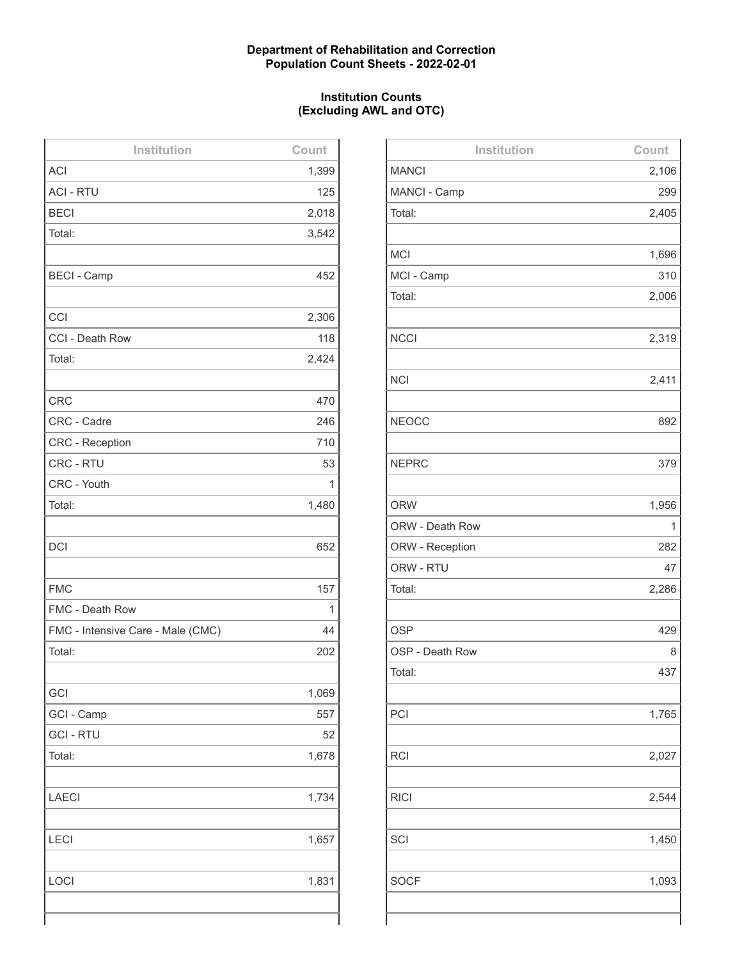## **Department of Rehabilitation and Correction Population Count Sheets - 2022-02-01**

## **Institution Counts (Excluding AWL and OTC)**

| Institution                       | Count |
|-----------------------------------|-------|
| <b>ACI</b>                        | 1,399 |
| <b>ACI - RTU</b>                  | 125   |
| <b>BECI</b>                       | 2,018 |
| Total:                            | 3,542 |
|                                   |       |
| <b>BECI - Camp</b>                | 452   |
|                                   |       |
| CCI                               | 2,306 |
| CCI - Death Row                   | 118   |
| Total:                            | 2,424 |
|                                   |       |
| <b>CRC</b>                        | 470   |
| CRC - Cadre                       | 246   |
| <b>CRC - Reception</b>            | 710   |
| CRC - RTU                         | 53    |
| CRC - Youth                       | 1     |
| Total:                            | 1,480 |
|                                   |       |
| <b>DCI</b>                        | 652   |
|                                   |       |
| <b>FMC</b>                        | 157   |
| FMC - Death Row                   | 1     |
| FMC - Intensive Care - Male (CMC) | 44    |
| Total:                            | 202   |
|                                   |       |
| GCI                               | 1,069 |
| GCI - Camp                        | 557   |
| <b>GCI - RTU</b>                  | 52    |
| Total:                            | 1,678 |
|                                   |       |
| <b>LAECI</b>                      | 1,734 |
|                                   |       |
| LECI                              | 1,657 |
|                                   |       |
| LOCI                              | 1,831 |
|                                   |       |
|                                   |       |

| Institution     | Count |
|-----------------|-------|
| <b>MANCI</b>    | 2,106 |
| MANCI - Camp    | 299   |
| Total:          | 2,405 |
|                 |       |
| <b>MCI</b>      | 1,696 |
| MCI - Camp      | 310   |
| Total:          | 2,006 |
|                 |       |
| <b>NCCI</b>     | 2,319 |
|                 |       |
| <b>NCI</b>      | 2,411 |
|                 |       |
| <b>NEOCC</b>    | 892   |
|                 |       |
| <b>NEPRC</b>    | 379   |
|                 |       |
| <b>ORW</b>      | 1,956 |
| ORW - Death Row | 1     |
| ORW - Reception | 282   |
| ORW - RTU       | 47    |
| Total:          | 2,286 |
|                 |       |
| <b>OSP</b>      | 429   |
| OSP - Death Row | 8     |
| Total:          | 437   |
|                 |       |
| PCI             | 1,765 |
|                 |       |
| <b>RCI</b>      | 2,027 |
|                 |       |
| <b>RICI</b>     | 2,544 |
|                 |       |
| SCI             | 1,450 |
|                 |       |
| <b>SOCF</b>     | 1,093 |
|                 |       |
|                 |       |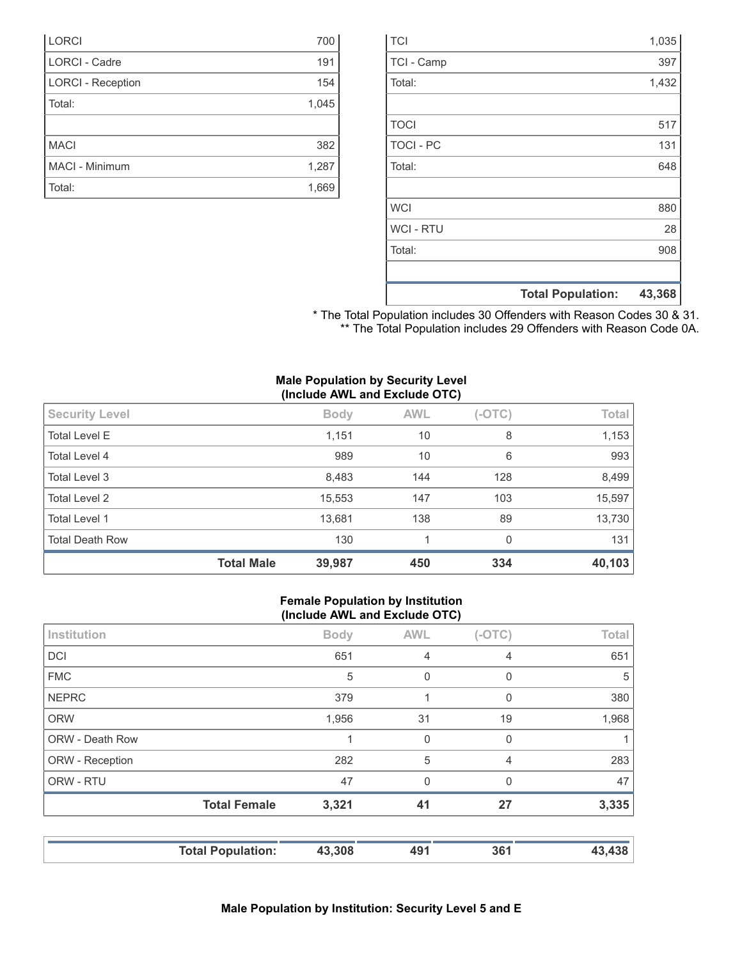|                  | <b>Total Population:</b> | 43,368 |
|------------------|--------------------------|--------|
|                  |                          |        |
| Total:           |                          | 908    |
| <b>WCI-RTU</b>   |                          | 28     |
| <b>WCI</b>       |                          | 880    |
|                  |                          |        |
| Total:           |                          | 648    |
| <b>TOCI - PC</b> |                          | 131    |
| <b>TOCI</b>      |                          | 517    |
|                  |                          |        |
| Total:           |                          | 1,432  |
| TCI - Camp       |                          | 397    |
| <b>TCI</b>       |                          | 1,035  |

\* The Total Population includes 30 Offenders with Reason Codes 30 & 31. \*\* The Total Population includes 29 Offenders with Reason Code 0A.

|  |  | <b>Male Population by Security Level</b> |  |
|--|--|------------------------------------------|--|
|  |  | (Include AWL and Exclude OTC)            |  |

| <b>Security Level</b>  |                   | <b>Body</b> | <b>AWL</b> | $(-OTC)$ | Total  |
|------------------------|-------------------|-------------|------------|----------|--------|
| <b>Total Level E</b>   |                   | 1,151       | 10         | 8        | 1,153  |
| Total Level 4          |                   | 989         | 10         | 6        | 993    |
| Total Level 3          |                   | 8,483       | 144        | 128      | 8,499  |
| <b>Total Level 2</b>   |                   | 15,553      | 147        | 103      | 15,597 |
| <b>Total Level 1</b>   |                   | 13,681      | 138        | 89       | 13,730 |
| <b>Total Death Row</b> |                   | 130         |            | $\Omega$ | 131    |
|                        | <b>Total Male</b> | 39,987      | 450        | 334      | 40,103 |

#### **Female Population by Institution (Include AWL and Exclude OTC)**

| <b>Total Female</b> | 47<br>3,321 | $\mathbf 0$<br>41 | 0<br>27     | 47<br>3,335  |
|---------------------|-------------|-------------------|-------------|--------------|
|                     |             |                   |             |              |
|                     |             |                   |             |              |
|                     | 282         | 5                 | 4           | 283          |
|                     |             | 0                 | $\mathbf 0$ |              |
|                     | 1,956       | 31                | 19          | 1,968        |
|                     | 379         |                   | 0           | 380          |
|                     | 5           | $\mathbf 0$       | 0           | 5            |
|                     | 651         | $\overline{4}$    | 4           | 651          |
|                     | <b>Body</b> | <b>AWL</b>        | $(-OTC)$    | Total        |
|                     | $\cdot$     |                   |             | $\mathbf{r}$ |

| 700   |
|-------|
| 191   |
| 154   |
| 1,045 |
|       |
| 382   |
| 1,287 |
| 1,669 |
|       |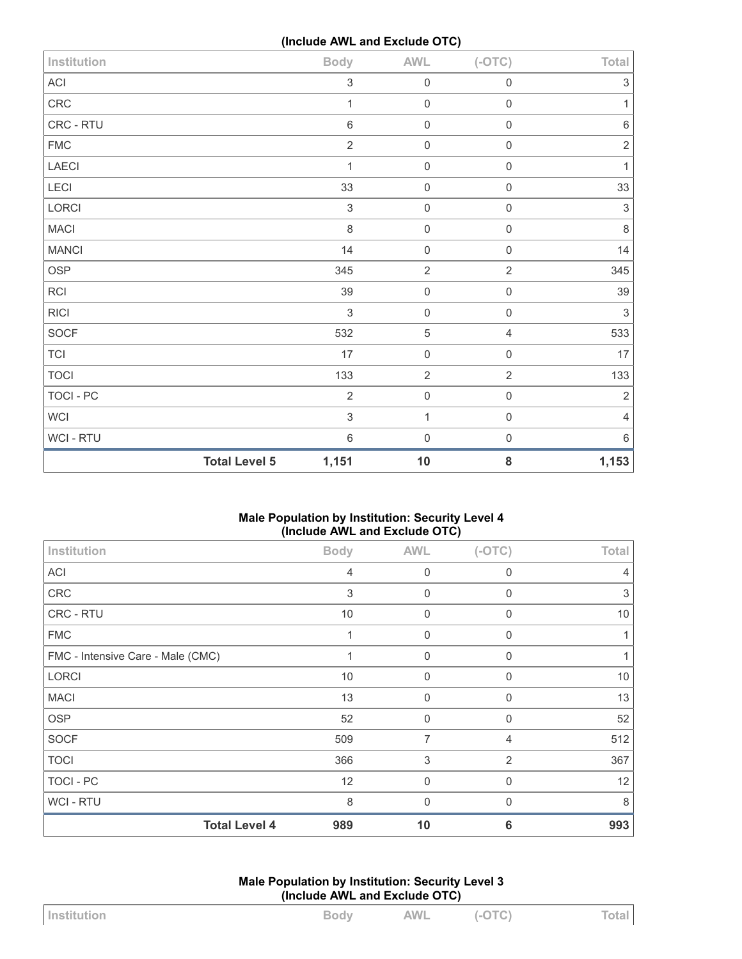**(Include AWL and Exclude OTC)**

| Institution  | $\ddot{\phantom{a}}$ | <b>Body</b>               | <b>AWL</b>     | $(-OTC)$       | Total                     |
|--------------|----------------------|---------------------------|----------------|----------------|---------------------------|
| ACI          |                      | $\,$ 3 $\,$               | $\mathbf 0$    | $\mathbf 0$    | $\ensuremath{\mathsf{3}}$ |
| CRC          |                      | 1                         | $\mathbf 0$    | $\mathbf 0$    | $\mathbf{1}$              |
| CRC - RTU    |                      | $\,6\,$                   | $\mathbf 0$    | $\mathbf 0$    | $\,6\,$                   |
| ${\sf FMC}$  |                      | $\sqrt{2}$                | $\mathbf 0$    | $\mathbf 0$    | $\overline{2}$            |
| LAECI        |                      | $\mathbf{1}$              | $\mathbf 0$    | $\mathbf 0$    | $\mathbf{1}$              |
| LECI         |                      | 33                        | $\,0\,$        | $\mathbf 0$    | 33                        |
| LORCI        |                      | $\sqrt{3}$                | $\mathbf 0$    | $\mathbf 0$    | $\sqrt{3}$                |
| <b>MACI</b>  |                      | $\,8\,$                   | $\mathbf 0$    | $\mathsf 0$    | $\,8\,$                   |
| <b>MANCI</b> |                      | 14                        | $\mathbf 0$    | $\mathbf 0$    | 14                        |
| OSP          |                      | 345                       | $\overline{2}$ | $\overline{2}$ | 345                       |
| <b>RCI</b>   |                      | 39                        | $\mathbf 0$    | $\mathbf 0$    | 39                        |
| <b>RICI</b>  |                      | $\mathfrak{S}$            | $\mathbf 0$    | $\mathbf 0$    | $\sqrt{3}$                |
| SOCF         |                      | 532                       | $\sqrt{5}$     | $\overline{4}$ | 533                       |
| <b>TCI</b>   |                      | 17                        | $\mathbf 0$    | $\mathbf 0$    | $17\,$                    |
| <b>TOCI</b>  |                      | 133                       | $\sqrt{2}$     | $\overline{c}$ | 133                       |
| TOCI - PC    |                      | $\overline{2}$            | $\mathbf 0$    | $\mathbf 0$    | $\sqrt{2}$                |
| WCI          |                      | $\ensuremath{\mathsf{3}}$ | $\mathbf{1}$   | $\mathbf 0$    | $\overline{4}$            |
| WCI - RTU    |                      | $\,6\,$                   | $\mathbf 0$    | $\mathbf 0$    | 6                         |
|              | <b>Total Level 5</b> | 1,151                     | $10$           | 8              | 1,153                     |

# **Male Population by Institution: Security Level 4 (Include AWL and Exclude OTC)**

| Institution                       | <b>Body</b>    | <b>AWL</b>  | $(-OTC)$       | Total |
|-----------------------------------|----------------|-------------|----------------|-------|
| <b>ACI</b>                        | $\overline{4}$ | $\mathbf 0$ | $\mathbf 0$    | 4     |
| <b>CRC</b>                        | 3              | $\mathbf 0$ | $\mathbf 0$    | 3     |
| CRC - RTU                         | 10             | $\mathbf 0$ | $\Omega$       | 10    |
| <b>FMC</b>                        | 1              | $\mathbf 0$ | $\mathbf 0$    |       |
| FMC - Intensive Care - Male (CMC) | 1              | $\mathbf 0$ | $\mathbf 0$    |       |
| <b>LORCI</b>                      | 10             | $\mathbf 0$ | $\mathbf 0$    | 10    |
| <b>MACI</b>                       | 13             | $\mathbf 0$ | $\mathbf 0$    | 13    |
| <b>OSP</b>                        | 52             | $\mathbf 0$ | $\Omega$       | 52    |
| <b>SOCF</b>                       | 509            | 7           | $\overline{4}$ | 512   |
| <b>TOCI</b>                       | 366            | $\sqrt{3}$  | $\overline{2}$ | 367   |
| TOCI - PC                         | 12             | $\mathbf 0$ | $\Omega$       | 12    |
| <b>WCI - RTU</b>                  | 8              | $\mathbf 0$ | $\Omega$       | 8     |
| <b>Total Level 4</b>              | 989            | 10          | 6              | 993   |

**Male Population by Institution: Security Level 3 (Include AWL and Exclude OTC)**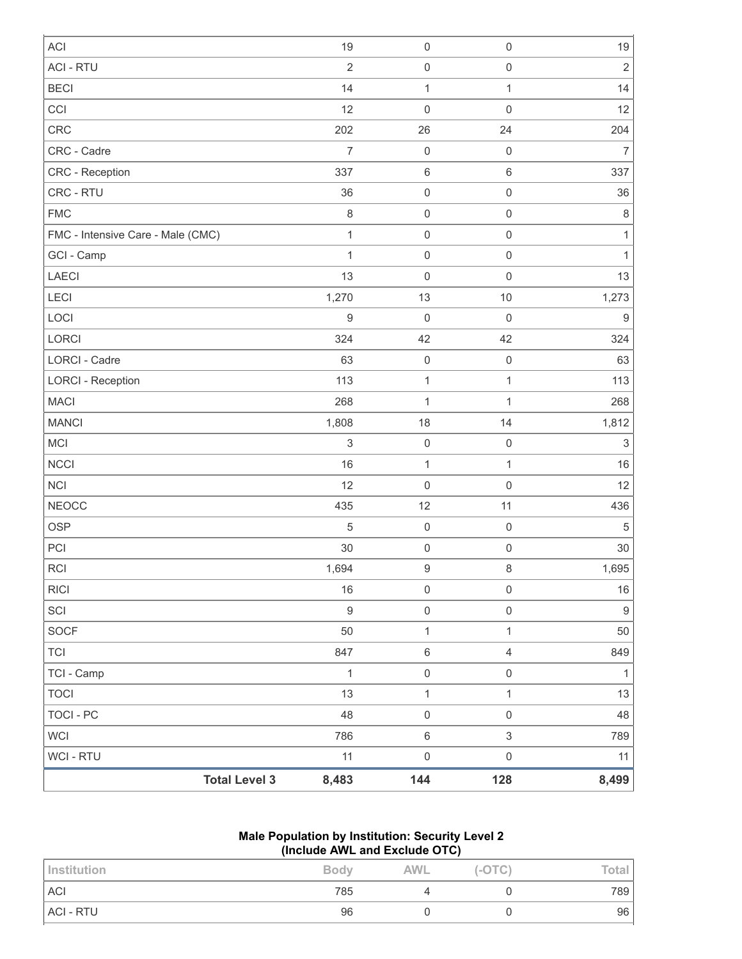| <b>ACI</b>                        |                      | 19               | $\mathbf 0$      | $\mathbf 0$    | 19                        |
|-----------------------------------|----------------------|------------------|------------------|----------------|---------------------------|
| <b>ACI - RTU</b>                  |                      | $\overline{2}$   | $\mathbf 0$      | $\mathbf 0$    | $\sqrt{2}$                |
| <b>BECI</b>                       |                      | 14               | $\mathbf{1}$     | $\mathbf{1}$   | 14                        |
| CCI                               |                      | 12               | $\mathbf 0$      | $\mathbf 0$    | 12                        |
| <b>CRC</b>                        |                      | 202              | 26               | 24             | 204                       |
| CRC - Cadre                       |                      | $\overline{7}$   | $\mathbf 0$      | $\mathbf 0$    | $\overline{7}$            |
| <b>CRC - Reception</b>            |                      | 337              | $\,6\,$          | $\,6\,$        | 337                       |
| CRC - RTU                         |                      | 36               | $\mathbf 0$      | $\mathbf 0$    | 36                        |
| <b>FMC</b>                        |                      | $\,8\,$          | $\mathbf 0$      | $\mathbf 0$    | $\,8\,$                   |
| FMC - Intensive Care - Male (CMC) |                      | $\mathbf{1}$     | $\mathbf 0$      | $\mathbf 0$    | $\mathbf{1}$              |
| GCI - Camp                        |                      | $\mathbf{1}$     | $\mathbf 0$      | $\mathbf 0$    | $\mathbf{1}$              |
| <b>LAECI</b>                      |                      | 13               | $\mathbf 0$      | $\mathbf 0$    | 13                        |
| LECI                              |                      | 1,270            | 13               | $10$           | 1,273                     |
| LOCI                              |                      | $\boldsymbol{9}$ | $\mathbf 0$      | $\mathbf 0$    | $\boldsymbol{9}$          |
| LORCI                             |                      | 324              | 42               | 42             | 324                       |
| <b>LORCI - Cadre</b>              |                      | 63               | $\mathbf 0$      | $\mathbf 0$    | 63                        |
| <b>LORCI - Reception</b>          |                      | 113              | $\mathbf{1}$     | $\mathbf{1}$   | 113                       |
| <b>MACI</b>                       |                      | 268              | $\mathbf{1}$     | $\mathbf{1}$   | 268                       |
| <b>MANCI</b>                      |                      | 1,808            | 18               | 14             | 1,812                     |
| MCI                               |                      | $\,$ 3 $\,$      | $\mathbf 0$      | $\mathbf 0$    | $\ensuremath{\mathsf{3}}$ |
| <b>NCCI</b>                       |                      | 16               | $\mathbf{1}$     | $\mathbf{1}$   | 16                        |
| <b>NCI</b>                        |                      | 12               | $\mathbf 0$      | $\mathbf 0$    | 12                        |
| <b>NEOCC</b>                      |                      | 435              | 12               | 11             | 436                       |
| <b>OSP</b>                        |                      | $\sqrt{5}$       | $\mathbf 0$      | $\mathbf 0$    | $\sqrt{5}$                |
| PCI                               |                      | 30               | $\mathbf 0$      | $\mathbf 0$    | 30                        |
| <b>RCI</b>                        |                      | 1,694            | $\boldsymbol{9}$ | $\,8\,$        | 1,695                     |
| <b>RICI</b>                       |                      | 16               | $\mathsf 0$      | $\mathbf 0$    | $16\,$                    |
| SCI                               |                      | $\boldsymbol{9}$ | $\mathbf 0$      | $\mathbf 0$    | $\boldsymbol{9}$          |
| SOCF                              |                      | 50               | $\mathbf{1}$     | $\mathbf{1}$   | 50                        |
| <b>TCI</b>                        |                      | 847              | $\,6\,$          | $\overline{4}$ | 849                       |
| TCI - Camp                        |                      | $\mathbf{1}$     | $\mathbf 0$      | $\mathbf 0$    | $\mathbf{1}$              |
| <b>TOCI</b>                       |                      | 13               | $\mathbf{1}$     | $\mathbf{1}$   | 13                        |
| <b>TOCI - PC</b>                  |                      | 48               | $\mathbf 0$      | $\mathbf 0$    | 48                        |
| <b>WCI</b>                        |                      | 786              | $\,6\,$          | $\sqrt{3}$     | 789                       |
| <b>WCI - RTU</b>                  |                      | 11               | $\mathbf 0$      | $\mathbf 0$    | 11                        |
|                                   | <b>Total Level 3</b> | 8,483            | 144              | 128            | 8,499                     |

# **Male Population by Institution: Security Level 2 (Include AWL and Exclude OTC)**

| Institution | <b>Body</b> | <b>AWL</b> | $(-OTC)$ | Total |
|-------------|-------------|------------|----------|-------|
| <b>ACI</b>  | 785         |            |          | 789   |
| ACI - RTU   | 96          |            |          | 96    |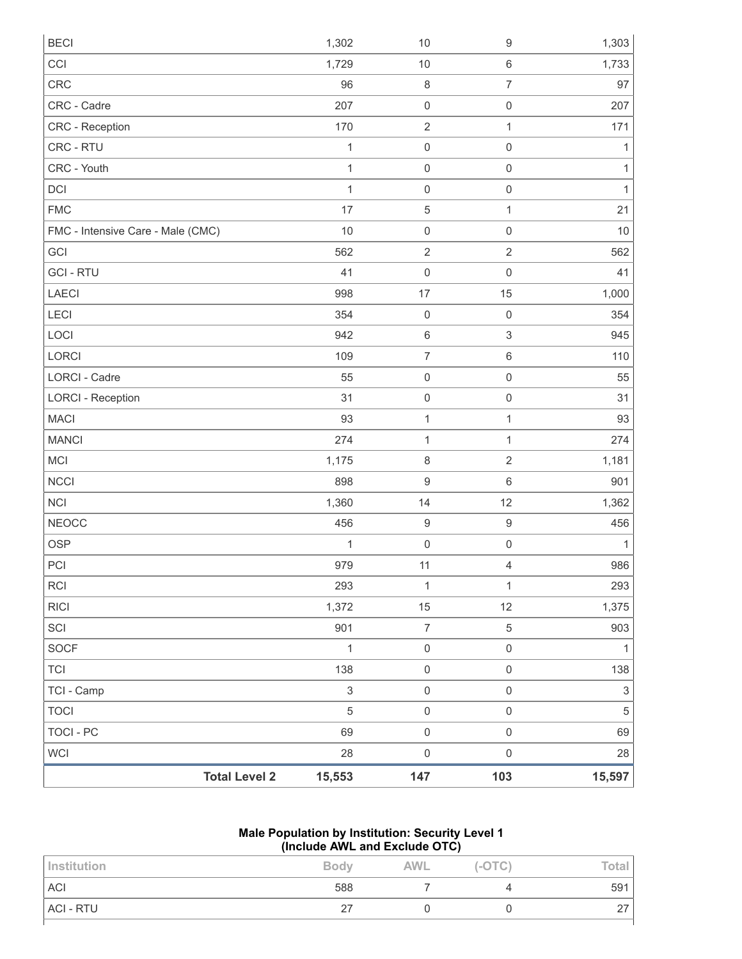| <b>BECI</b>                       |                      | 1,302                     | $10$             | $\boldsymbol{9}$    | 1,303                     |
|-----------------------------------|----------------------|---------------------------|------------------|---------------------|---------------------------|
| CCI                               |                      | 1,729                     | $10$             | $\,6\,$             | 1,733                     |
| <b>CRC</b>                        |                      | 96                        | $\,8\,$          | $\overline{7}$      | 97                        |
| CRC - Cadre                       |                      | 207                       | $\mathbf 0$      | $\mathbf 0$         | 207                       |
| CRC - Reception                   |                      | 170                       | $\overline{2}$   | 1                   | 171                       |
| CRC - RTU                         |                      | 1                         | $\mathbf 0$      | $\mathsf{O}\xspace$ | 1                         |
| CRC - Youth                       |                      | 1                         | $\mathbf 0$      | $\mathsf{O}\xspace$ | 1                         |
| DCI                               |                      | $\mathbf{1}$              | $\mathbf 0$      | $\mathsf{O}\xspace$ | 1                         |
| <b>FMC</b>                        |                      | 17                        | $\sqrt{5}$       | $\mathbf{1}$        | 21                        |
| FMC - Intensive Care - Male (CMC) |                      | 10                        | $\mathbf 0$      | $\mathbf 0$         | 10                        |
| GCI                               |                      | 562                       | $\sqrt{2}$       | $\overline{c}$      | 562                       |
| <b>GCI-RTU</b>                    |                      | 41                        | $\mathbf 0$      | $\mathsf{O}\xspace$ | 41                        |
| LAECI                             |                      | 998                       | 17               | 15                  | 1,000                     |
| <b>LECI</b>                       |                      | 354                       | $\,0\,$          | $\mathbf 0$         | 354                       |
| LOCI                              |                      | 942                       | $\,6\,$          | 3                   | 945                       |
| LORCI                             |                      | 109                       | $\boldsymbol{7}$ | $\,6\,$             | 110                       |
| <b>LORCI - Cadre</b>              |                      | 55                        | $\mathbf 0$      | $\mathsf{O}\xspace$ | 55                        |
| <b>LORCI - Reception</b>          |                      | 31                        | $\mathbf 0$      | $\mathbf 0$         | 31                        |
| <b>MACI</b>                       |                      | 93                        | $\mathbf{1}$     | 1                   | 93                        |
| <b>MANCI</b>                      |                      | 274                       | 1                | $\mathbf{1}$        | 274                       |
| MCI                               |                      | 1,175                     | $\,8\,$          | $\overline{2}$      | 1,181                     |
| <b>NCCI</b>                       |                      | 898                       | $\boldsymbol{9}$ | $\,6$               | 901                       |
| <b>NCI</b>                        |                      | 1,360                     | 14               | 12                  | 1,362                     |
| <b>NEOCC</b>                      |                      | 456                       | $\boldsymbol{9}$ | $\boldsymbol{9}$    | 456                       |
| <b>OSP</b>                        |                      | 1                         | $\mathbf 0$      | $\mathbf 0$         | 1                         |
| PCI                               |                      | 979                       | 11               | 4                   | 986                       |
| <b>RCI</b>                        |                      | 293                       | $\mathbf{1}$     | 1                   | 293                       |
| <b>RICI</b>                       |                      | 1,372                     | 15               | 12                  | 1,375                     |
| SCI                               |                      | 901                       | $\boldsymbol{7}$ | 5                   | 903                       |
| <b>SOCF</b>                       |                      | $\mathbf{1}$              | $\mathbf 0$      | $\mathsf{O}\xspace$ | 1                         |
| <b>TCI</b>                        |                      | 138                       | $\mathbf 0$      | $\mathsf{O}\xspace$ | 138                       |
| TCI - Camp                        |                      | $\ensuremath{\mathsf{3}}$ | $\mathbf 0$      | $\mathsf{O}\xspace$ | $\ensuremath{\mathsf{3}}$ |
| <b>TOCI</b>                       |                      | $\overline{5}$            | $\mathbf 0$      | $\mathsf{O}\xspace$ | $\sqrt{5}$                |
| <b>TOCI - PC</b>                  |                      | 69                        | $\mathbf 0$      | $\mathsf{O}\xspace$ | 69                        |
| <b>WCI</b>                        |                      | 28                        | $\mathbf 0$      | $\mathsf{O}\xspace$ | 28                        |
|                                   | <b>Total Level 2</b> | 15,553                    | 147              | 103                 | 15,597                    |

## **Male Population by Institution: Security Level 1 (Include AWL and Exclude OTC)**

| Institution      | <b>Body</b> | <b>AWL</b> | $(-OTC)$ | Total     |
|------------------|-------------|------------|----------|-----------|
| <b>ACI</b>       | 588         |            |          | 591       |
| <b>ACI - RTU</b> | 27          |            |          | 27<br>ا ک |